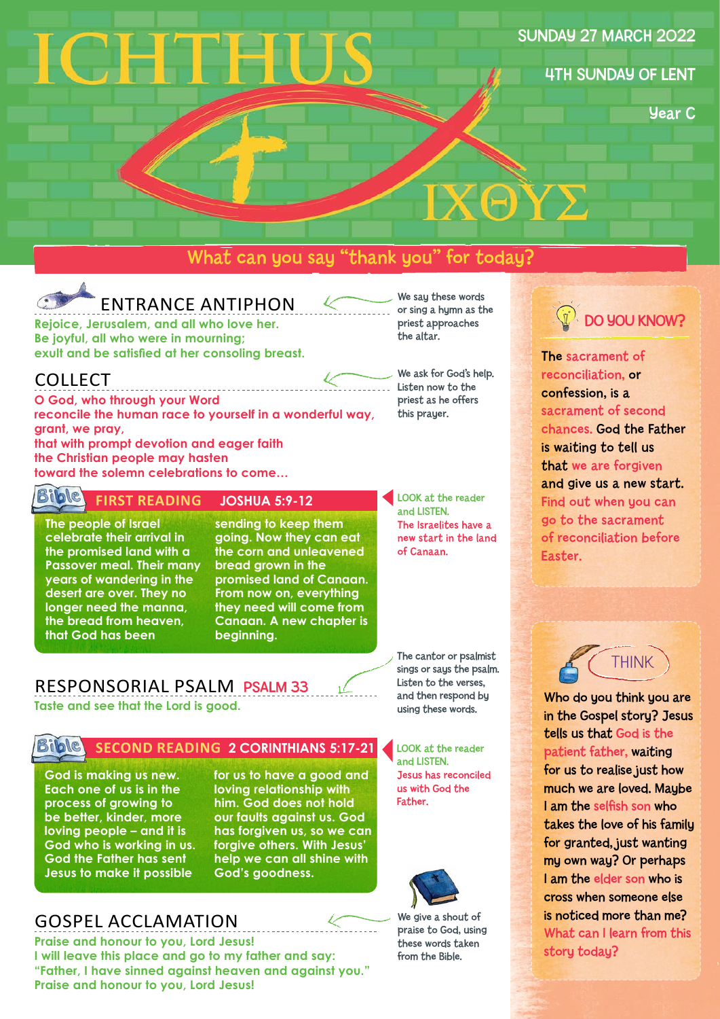# CHTHU

#### SUNDAY 27 MARCH 2022

4TH SUNDAY OF LENT

Year C

# What can you say "thank you" for today?



# ENTRANCE ANTIPHON

**Rejoice, Jerusalem, and all who love her. Be joyful, all who were in mourning; exult and be satisfied at her consoling breast.** 

## COLLECT

**O God, who through your Word reconcile the human race to yourself in a wonderful way, grant, we pray, that with prompt devotion and eager faith the Christian people may hasten toward the solemn celebrations to come…**

## **FIRST READING JOSHUA 5:9-12**

**The people of Israel celebrate their arrival in the promised land with a Passover meal. Their many years of wandering in the desert are over. They no longer need the manna, the bread from heaven, that God has been** 

#### **sending to keep them going. Now they can eat the corn and unleavened bread grown in the promised land of Canaan. From now on, everything they need will come from Canaan. A new chapter is beginning.**

We say these words or sing a hymn as the priest approaches the altar.

ΙΧΘΥΣ

We ask for God's help. Listen now to the priest as he offers this prayer.

LOOK at the reader and LISTEN. The Israelites have a new start in the land of Canaan.

The cantor or psalmist sings or says the psalm. Listen to the verses, and then respond by using these words.

## RESPONSORIAL PSALM PSALM 33 **Taste and see that the Lord is good.**



#### **BIDIC** SECOND READING 2 CORINTHIANS 5:17-21

**God is making us new. Each one of us is in the process of growing to be better, kinder, more loving people – and it is God who is working in us. God the Father has sent Jesus to make it possible** 

#### **for us to have a good and loving relationship with him. God does not hold our faults against us. God has forgiven us, so we can forgive others. With Jesus' help we can all shine with God's goodness.**

# GOSPEL ACCLAMATION

**Praise and honour to you, Lord Jesus! I will leave this place and go to my father and say: "Father, I have sinned against heaven and against you." Praise and honour to you, Lord Jesus!**

LOOK at the reader and LISTEN. Jesus has reconciled us with God the Father.



We give a shout of praise to God, using these words taken from the Bible.



The sacrament of reconciliation, or confession, is a sacrament of second chances. God the Father is waiting to tell us that we are forgiven and give us a new start. Find out when you can go to the sacrament of reconciliation before Easter.

THINK

Who do you think you are in the Gospel story? Jesus tells us that God is the patient father, waiting for us to realise just how much we are loved. Maybe I am the selfish son who takes the love of his family for granted, just wanting my own way? Or perhaps I am the elder son who is cross when someone else is noticed more than me? What can I learn from this story today?